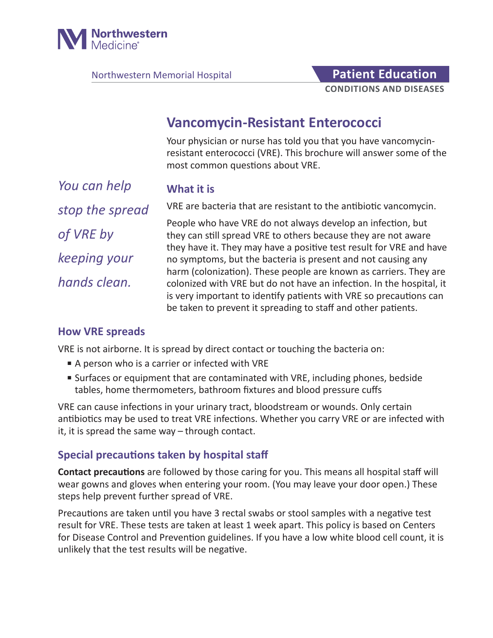

Northwestern Memorial Hospital **Patient Education** 

# **CONDITIONS AND DISEASES**

## **Vancomycin-Resistant Enterococci**

Your physician or nurse has told you that you have vancomycinresistant enterococci (VRE). This brochure will answer some of the most common questions about VRE.

**What it is**

*You can help stop the spread of VRE by keeping your hands clean.*

VRE are bacteria that are resistant to the antibiotic vancomycin.

People who have VRE do not always develop an infection, but they can still spread VRE to others because they are not aware they have it. They may have a positive test result for VRE and have no symptoms, but the bacteria is present and not causing any harm (colonization). These people are known as carriers. They are colonized with VRE but do not have an infection. In the hospital, it is very important to identify patients with VRE so precautions can be taken to prevent it spreading to staff and other patients.

### **How VRE spreads**

VRE is not airborne. It is spread by direct contact or touching the bacteria on:

- A person who is a carrier or infected with VRE
- Surfaces or equipment that are contaminated with VRE, including phones, bedside tables, home thermometers, bathroom fixtures and blood pressure cuffs

VRE can cause infections in your urinary tract, bloodstream or wounds. Only certain antibiotics may be used to treat VRE infections. Whether you carry VRE or are infected with it, it is spread the same way – through contact.

## **Special precautions taken by hospital staff**

**Contact precautions** are followed by those caring for you. This means all hospital staff will wear gowns and gloves when entering your room. (You may leave your door open.) These steps help prevent further spread of VRE.

Precautions are taken until you have 3 rectal swabs or stool samples with a negative test result for VRE. These tests are taken at least 1 week apart. This policy is based on Centers for Disease Control and Prevention guidelines. If you have a low white blood cell count, it is unlikely that the test results will be negative.